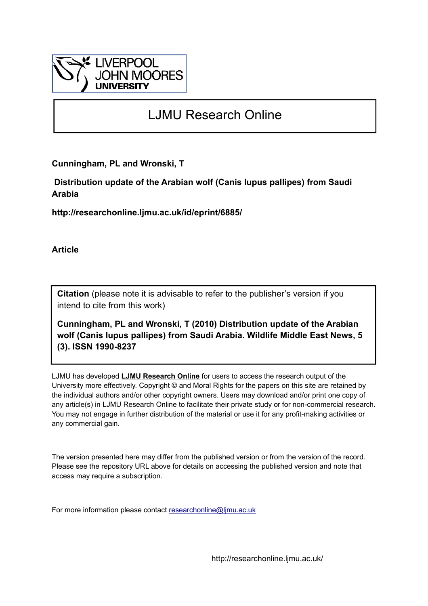

# LJMU Research Online

**Cunningham, PL and Wronski, T**

 **Distribution update of the Arabian wolf (Canis lupus pallipes) from Saudi Arabia**

**http://researchonline.ljmu.ac.uk/id/eprint/6885/**

**Article**

**Citation** (please note it is advisable to refer to the publisher's version if you intend to cite from this work)

**Cunningham, PL and Wronski, T (2010) Distribution update of the Arabian wolf (Canis lupus pallipes) from Saudi Arabia. Wildlife Middle East News, 5 (3). ISSN 1990-8237** 

LJMU has developed **[LJMU Research Online](http://researchonline.ljmu.ac.uk/)** for users to access the research output of the University more effectively. Copyright © and Moral Rights for the papers on this site are retained by the individual authors and/or other copyright owners. Users may download and/or print one copy of any article(s) in LJMU Research Online to facilitate their private study or for non-commercial research. You may not engage in further distribution of the material or use it for any profit-making activities or any commercial gain.

The version presented here may differ from the published version or from the version of the record. Please see the repository URL above for details on accessing the published version and note that access may require a subscription.

For more information please contact [researchonline@ljmu.ac.uk](mailto:researchonline@ljmu.ac.uk)

http://researchonline.ljmu.ac.uk/